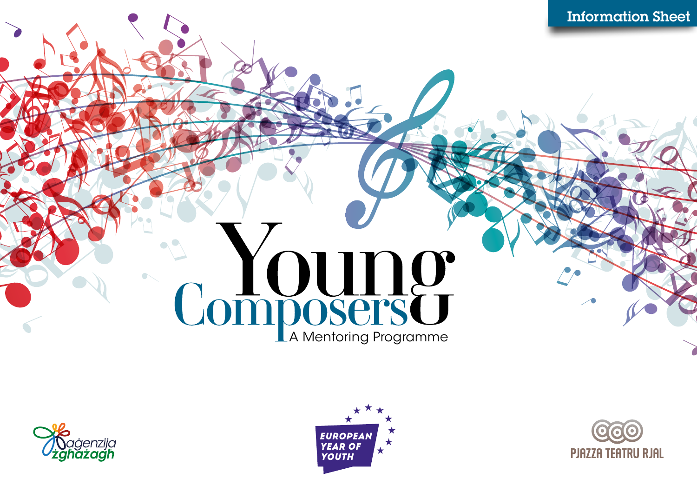# Composers<sup>C</sup>





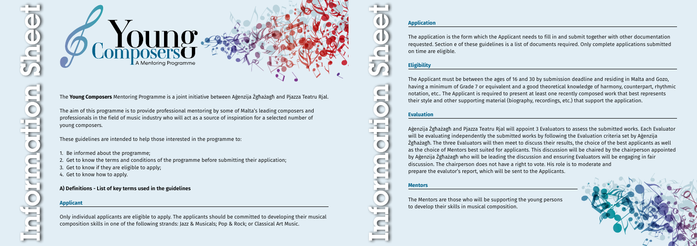



The **Young Composers** Mentoring Programme is a joint initiative between Aġenzija Żgħażagħ and Pjazza Teatru Rjal.

The aim of this programme is to provide professional mentoring by some of Malta's leading composers and professionals in the field of music industry who will act as a source of inspiration for a selected number of young composers.

These guidelines are intended to help those interested in the programme to:

- 1. Be informed about the programme;
- 2. Get to know the terms and conditions of the programme before submitting their application;
- 3. Get to know if they are eligible to apply;
- 4. Get to know how to apply.

### **A) Definitions - List of key terms used in the guidelines**

### **Applicant**

Only individual applicants are eligible to apply. The applicants should be committed to developing their musical composition skills in one of the following strands: Jazz & Musicals; Pop & Rock; or Classical Art Music.

# **Application**

The application is the form which the Applicant needs to fill in and submit together with other documentation requested. Section e of these guidelines is a list of documents required. Only complete applications submitted on time are eligible.

## **Eligibility**

The Applicant must be between the ages of 16 and 30 by submission deadline and residing in Malta and Gozo, having a minimum of Grade 7 or equivalent and a good theoretical knowledge of harmony, counterpart, rhythmic notation, etc.. The Applicant is required to present at least one recently composed work that best represents their style and other supporting material (biography, recordings, etc.) that support the application.

### **Evaluation**

Aġenzija Żgħażagħ and Pjazza Teatru Rjal will appoint 3 Evaluators to assess the submitted works. Each Evaluator will be evaluating independently the submitted works by following the Evaluation criteria set by Aġenzija Żgħażagħ. The three Evaluators will then meet to discuss their results, the choice of the best applicants as well as the choice of Mentors best suited for applicants. This discussion will be chaired by the chairperson appointed by Aġenzija Żgħażagħ who will be leading the discussion and ensuring Evaluators will be engaging in fair discussion. The chairperson does not have a right to vote. His role is to moderate and prepare the evalutor's report, which will be sent to the Applicants.

### **Mentors**

The Mentors are those who will be supporting the young persons to develop their skills in musical composition.

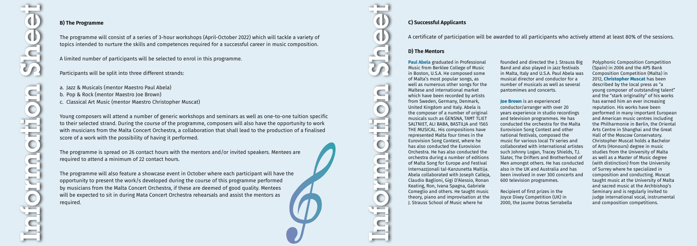### **B) The Programme**

The programme will consist of a series of 3-hour workshops (April-October 2022) which will tackle a variety of topics intended to nurture the skills and competences required for a successful career in music composition.

A limited number of participants will be selected to enrol in this programme.

Participants will be split into three different strands:

a. Jazz & Musicals (mentor Maestro Paul Abela) b. Pop & Rock (mentor Maestro Joe Brown) c. Classical Art Music (mentor Maestro Christopher Muscat)

Young composers will attend a number of generic workshops and seminars as well as one-to-one tuition specific to their selected strand. During the course of the programme, composers will also have the opportunity to work with musicians from the Malta Concert Orchestra, a collaboration that shall lead to the production of a finalised score of a work with the possibility of having it performed.

The programme is spread on 26 contact hours with the mentors and/or invited speakers. Mentees are required to attend a minimum of 22 contact hours.

The programme will also feature a showcase event in October where each participant will have the opportunity to present the work/s developed during the course of this programme performed by musicians from the Malta Concert Orchestra, if these are deemed of good quality. Mentees will be expected to sit in during Mata Concert Orchestra rehearsals and assist the mentors as required.



 $\blacksquare$ 

 $\bullet$ 

 $\blacksquare$ 

 $\blacksquare$ 

founded and directed the L. Strauss Big Band and also played in jazz festivals in Malta, Italy and U.S.A. Paul Abela was musical director and conductor for a number of musicals as well as several pantomimes and concerts.

### **C) Successful Applicants**

### A certificate of participation will be awarded to all participants who actively attend at least 80% of the sessions.

### **D) The Mentors**

**Paul Abela** graduated in Professional Music from Berklee College of Music in Boston, U.S.A. He composed some of Malta's most popular songs, as well as numerous other songs for the Maltese and international market which have been recorded by artists from Sweden, Germany, Denmark, United Kingdom and Italy. Abela is the composer of a number of original musicals such as ĠENSNA, TAĦT TLIET SALTNIET, ALI BABA, BASTILJA and 1565 THE MUSICAL. His compositions have represented Malta four times in the Eurovision Song Contest, where he has also conducted the Eurovision Orchestra. He has also conducted the orchestra during a number of editions of Malta Song for Europe and Festival Internazzjonali tal-Kanzunetta Maltija. Abela collaborated with Joseph Calleja, Claudio Baglioni, Gigi D'Alessio, Ronan Keating, Ron, Ivana Spagna, Gabriele Comeglio and others. He taught music theory, piano and improvisation at the J. Strauss School of Music where he

**Joe Brown** is an experienced conductor/arranger with over 20 years experience in studio recordings and television programmes. He has conducted the orchestra for the Malta Eurovision Song Contest and other national festivals, composed the music for various local TV series and collaborated with international artistes such Johnny Logan, Tracey Shields, T.J. Slater, The Drifters and Brotherhood of Men amongst others. He has conducted also in the UK and Australia and has been involved in over 300 concerts and 600 television programmes.

Recipient of first prizes in the Joyce Dixey Competition (UK) in 2000, the Jaume Dotras Serrabella Polyphonic Composition Competition (Spain) in 2006 and the APS Bank Composition Competition (Malta) in 2012, **Christopher Muscat** has been described by the local press as "a young composer of outstanding talent" and the "stark originality" of his works has earned him an ever increasing reputation. His works have been performed in many important European and American music centres including the Philharmonie in Berlin, the Oriental Arts Centre in Shanghai and the Great Hall of the Moscow Conservatory. Christopher Muscat holds a Bachelor of Arts (Honours) degree in music studies from the University of Malta as well as a Master of Music degree (with distinction) from the University of Surrey where he specialized in composition and conducting. Muscat taught music at the University of Malta and sacred music at the Archbishop's Seminary and is regularly invited to judge international vocal, instrumental and composition competitions.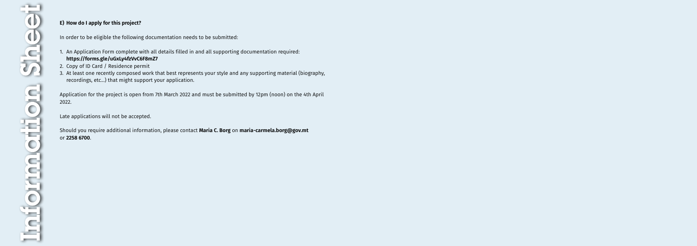

### **E) How do I apply for this project?**

In order to be eligible the following documentation needs to be submitted:

- 1. An Application Form complete with all details filled in and all supporting documentation required: **<https://forms.gle/uGxLy4fzVvC6F8mZ7>**
- 2. Copy of ID Card / Residence permit
- 3. At least one recently composed work that best represents your style and any supporting material (biography, recordings, etc...) that might support your application.

Application for the project is open from 7th March 2022 and must be submitted by 12pm (noon) on the 4th April 2022.

Late applications will not be accepted.

Should you require additional information, please contact **Maria C. Borg** on **[maria-carmela.borg@gov.mt](mailto:maria-carmela.borg@gov.mt)** or **2258 6700**.